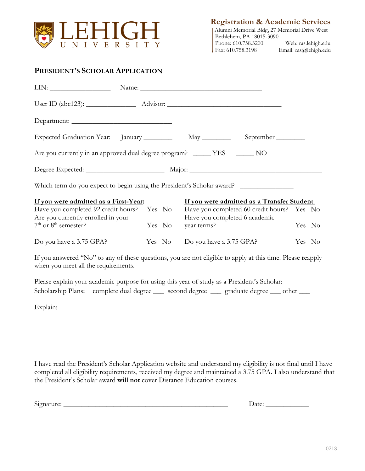

**Registration & Academic Services**

|                          | Alumni Memorial Bldg, 27 Memorial Drive West |
|--------------------------|----------------------------------------------|
| Bethlehem, PA 18015-3090 |                                              |
| Phone: 610.758.3200      | Web: ras.lehigh.edu                          |
| Fax: 610.758.3198        | Email: ras@lehigh.edu                        |

## **PRESIDENT'S SCHOLAR APPLICATION**

| Expected Graduation Year: January May May September                                                                         |                    |                                             |        |
|-----------------------------------------------------------------------------------------------------------------------------|--------------------|---------------------------------------------|--------|
| Are you currently in an approved dual degree program? ______ YES _______ NO                                                 |                    |                                             |        |
|                                                                                                                             |                    |                                             |        |
| Which term do you expect to begin using the President's Scholar award?                                                      |                    |                                             |        |
| If you were admitted as a First-Year:                                                                                       |                    | If you were admitted as a Transfer Student: |        |
| Have you completed 92 credit hours? Yes No Have you completed 60 credit hours? Yes No<br>Are you currently enrolled in your |                    | Have you completed 6 academic               |        |
| $7th$ or $8th$ semester?                                                                                                    | Yes No year terms? |                                             | Yes No |
| Do you have a 3.75 GPA? Yes No Do you have a 3.75 GPA?                                                                      |                    |                                             | Yes No |
| If you answered "No" to any of these questions, you are not eligible to apply at this time. Please reapply                  |                    |                                             |        |

If you answered "No" to any of these questions, you are not eligible to apply at this time. Please reapply when you meet all the requirements.

Please explain your academic purpose for using this year of study as a President's Scholar:

|          | Scholarship Plans: complete dual degree ____ second degree ____ graduate degree ___ other ___ |
|----------|-----------------------------------------------------------------------------------------------|
| Explain: |                                                                                               |
|          |                                                                                               |
|          |                                                                                               |

I have read the President's Scholar Application website and understand my eligibility is not final until I have completed all eligibility requirements, received my degree and maintained a 3.75 GPA. I also understand that the President's Scholar award **will not** cover Distance Education courses.

Signature: \_\_\_\_\_\_\_\_\_\_\_\_\_\_\_\_\_\_\_\_\_\_\_\_\_\_\_\_\_\_\_\_\_\_\_\_\_\_\_\_\_\_\_\_\_\_ Date: \_\_\_\_\_\_\_\_\_\_\_\_